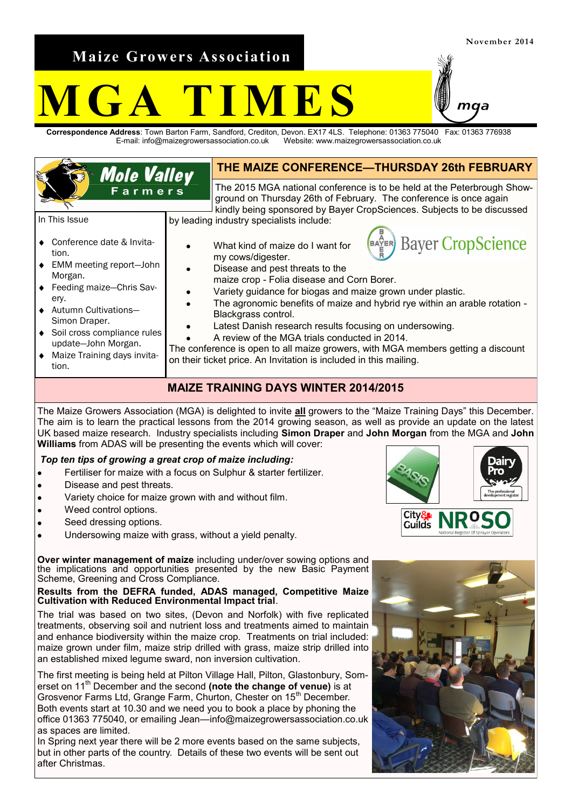**Maize Growers Association**

# **M F S**

**Correspondence Address**: Town Barton Farm, Sandford, Crediton, Devon. EX17 4LS. Telephone: 01363 775040 Fax: 01363 776938 E-mail: info@maizegrowersassociation.co.uk Website: www.maizegrowersassociation.co.uk

| <b>Mole Valley</b><br><b>Farmers</b>                                                                                                                                                                                                                                                                                                                   |  | THE MAIZE CONFERENCE-THURSDAY 26th FEBRUARY                                                                                                                                                                                                                                                                                                                                                                                                                                                                                                                                                                                                                                                                             |
|--------------------------------------------------------------------------------------------------------------------------------------------------------------------------------------------------------------------------------------------------------------------------------------------------------------------------------------------------------|--|-------------------------------------------------------------------------------------------------------------------------------------------------------------------------------------------------------------------------------------------------------------------------------------------------------------------------------------------------------------------------------------------------------------------------------------------------------------------------------------------------------------------------------------------------------------------------------------------------------------------------------------------------------------------------------------------------------------------------|
|                                                                                                                                                                                                                                                                                                                                                        |  | The 2015 MGA national conference is to be held at the Peterbrough Show-<br>ground on Thursday 26th of February. The conference is once again<br>kindly being sponsored by Bayer CropSciences. Subjects to be discussed                                                                                                                                                                                                                                                                                                                                                                                                                                                                                                  |
| In This Issue<br>♦ Conference date & Invita-<br>tion.<br>• EMM meeting report-John<br>Morgan.<br>♦ Feeding maize-Chris Sav-<br>ery.<br>♦ Autumn Cultivations-<br>Simon Draper.<br>♦ Soil cross compliance rules<br>update-John Morgan.<br>Maize Training days invita-<br>$\bullet$<br>tion.                                                            |  | by leading industry specialists include:<br><b>Bayer CropScience</b><br>$\overset{\mathsf{A}}{\underset{\mathsf{F}}{\mathsf{F}}}$ ER)<br>What kind of maize do I want for<br>my cows/digester.<br>Disease and pest threats to the<br>maize crop - Folia disease and Corn Borer.<br>Variety guidance for biogas and maize grown under plastic.<br>The agronomic benefits of maize and hybrid rye within an arable rotation -<br>Blackgrass control.<br>Latest Danish research results focusing on undersowing.<br>A review of the MGA trials conducted in 2014.<br>The conference is open to all maize growers, with MGA members getting a discount<br>on their ticket price. An Invitation is included in this mailing. |
| <b>MAIZE TRAINING DAYS WINTER 2014/2015</b>                                                                                                                                                                                                                                                                                                            |  |                                                                                                                                                                                                                                                                                                                                                                                                                                                                                                                                                                                                                                                                                                                         |
| The Maize Growers Association (MGA) is delighted to invite all growers to the "Maize Training Days" this December.<br>The aim is to learn the practical lessons from the 2014 growing season, as well as provide an update on the latest<br>UK based maize research. Industry specialists including Simon Draper and John Morgan from the MGA and John |  |                                                                                                                                                                                                                                                                                                                                                                                                                                                                                                                                                                                                                                                                                                                         |

**Williams** from ADAS will be presenting the events which will cover:

## *Top ten tips of growing a great crop of maize including:*

- Fertiliser for maize with a focus on Sulphur & starter fertilizer.  $\bullet$
- Disease and pest threats.
- Variety choice for maize grown with and without film. ż
- Weed control options.
- Seed dressing options.
- Undersowing maize with grass, without a yield penalty.  $\bullet$

**Over winter management of maize** including under/over sowing options and the implications and opportunities presented by the new Basic Payment Scheme, Greening and Cross Compliance.

#### **Results from the DEFRA funded, ADAS managed, Competitive Maize Cultivation with Reduced Environmental Impact trial**.

The trial was based on two sites, (Devon and Norfolk) with five replicated treatments, observing soil and nutrient loss and treatments aimed to maintain and enhance biodiversity within the maize crop. Treatments on trial included: maize grown under film, maize strip drilled with grass, maize strip drilled into an established mixed legume sward, non inversion cultivation.

The first meeting is being held at Pilton Village Hall, Pilton, Glastonbury, Somerset on 11th December and the second **(note the change of venue)** is at Grosvenor Farms Ltd, Grange Farm, Churton, Chester on 15<sup>th</sup> December. Both events start at 10.30 and we need you to book a place by phoning the office 01363 775040, or emailing Jean—info@maizegrowersassociation.co.uk as spaces are limited.

In Spring next year there will be 2 more events based on the same subjects, but in other parts of the country. Details of these two events will be sent out after Christmas.